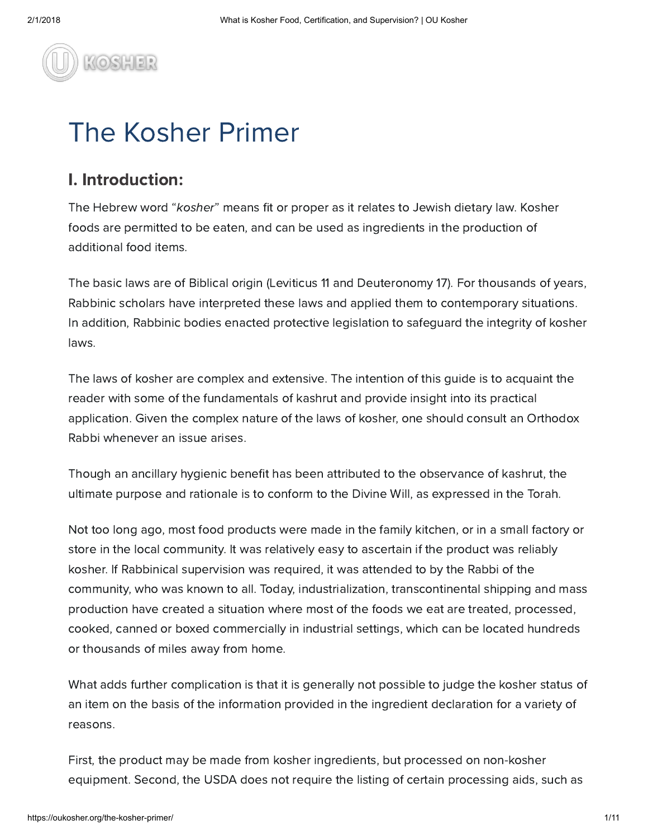

# The Kosher Primer

## I. Introduction:

The Hebrew word "kosher" means fit or proper as it relates to Jewish dietary law. Kosher foods are permitted to be eaten, and can be used as ingredients in the production of additional food items.

The basic laws are of Biblical origin (Leviticus 11 and Deuteronomy 17). For thousands of years, Rabbinic scholars have interpreted these laws and applied them to contemporary situations. In addition, Rabbinic bodies enacted protective legislation to safeguard the integrity of kosher laws.

The laws of kosher are complex and extensive. The intention of this guide is to acquaint the reader with some of the fundamentals of kashrut and provide insight into its practical application. Given the complex nature of the laws of kosher, one should consult an Orthodox Rabbi whenever an issue arises.

Though an ancillary hygienic benefit has been attributed to the observance of kashrut, the ultimate purpose and rationale is to conform to the Divine Will, as expressed in the Torah.

Not too long ago, most food products were made in the family kitchen, or in a small factory or store in the local community. It was relatively easy to ascertain if the product was reliably kosher. If Rabbinical supervision was required, it was attended to by the Rabbi of the community, who was known to all. Today, industrialization, transcontinental shipping and mass production have created a situation where most of the foods we eat are treated, processed, cooked, canned or boxed commercially in industrial settings, which can be located hundreds or thousands of miles away from home.

What adds further complication is that it is generally not possible to judge the kosher status of an item on the basis of the information provided in the ingredient declaration for a variety of reasons.

First, the product may be made from kosher ingredients, but processed on non-kosher equipment. Second, the USDA does not require the listing of certain processing aids, such as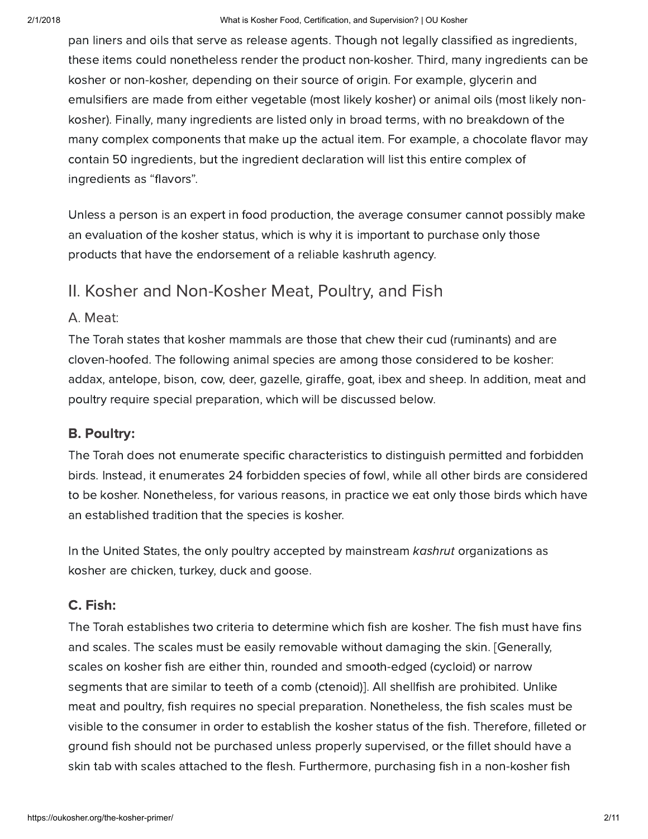pan liners and oils that serve as release agents. Though not legally classified as ingredients, these items could nonetheless render the product non-kosher. Third, many ingredients can be kosher or non-kosher, depending on their source of origin. For example, glycerin and emulsifiers are made from either vegetable (most likely kosher) or animal oils (most likely nonkosher). Finally, many ingredients are listed only in broad terms, with no breakdown of the many complex components that make up the actual item. For example, a chocolate flavor may contain 50 ingredients, but the ingredient declaration will list this entire complex of ingredients as "flavors".

Unless a person is an expert in food production, the average consumer cannot possibly make an evaluation of the kosher status, which is why it is important to purchase only those products that have the endorsement of a reliable kashruth agency.

## II. Kosher and Non-Kosher Meat, Poultry, and Fish

#### A. Meat:

The Torah states that kosher mammals are those that chew their cud (ruminants) and are cloven-hoofed. The following animal species are among those considered to be kosher: addax, antelope, bison, cow, deer, gazelle, giraffe, goat, ibex and sheep. In addition, meat and poultry require special preparation, which will be discussed below.

#### B. Poultry:

The Torah does not enumerate specific characteristics to distinguish permitted and forbidden birds. Instead, it enumerates 24 forbidden species of fowl, while all other birds are considered to be kosher. Nonetheless, for various reasons, in practice we eat only those birds which have an established tradition that the species is kosher.

In the United States, the only poultry accepted by mainstream kashrut organizations as kosher are chicken, turkey, duck and goose.

#### C. Fish:

The Torah establishes two criteria to determine which fish are kosher. The fish must have fins and scales. The scales must be easily removable without damaging the skin. [Generally, scales on kosher fish are either thin, rounded and smooth-edged (cycloid) or narrow segments that are similar to teeth of a comb (ctenoid)]. All shellfish are prohibited. Unlike meat and poultry, fish requires no special preparation. Nonetheless, the fish scales must be visible to the consumer in order to establish the kosher status of the fish. Therefore, filleted or ground fish should not be purchased unless properly supervised, or the fillet should have a skin tab with scales attached to the flesh. Furthermore, purchasing fish in a non-kosher fish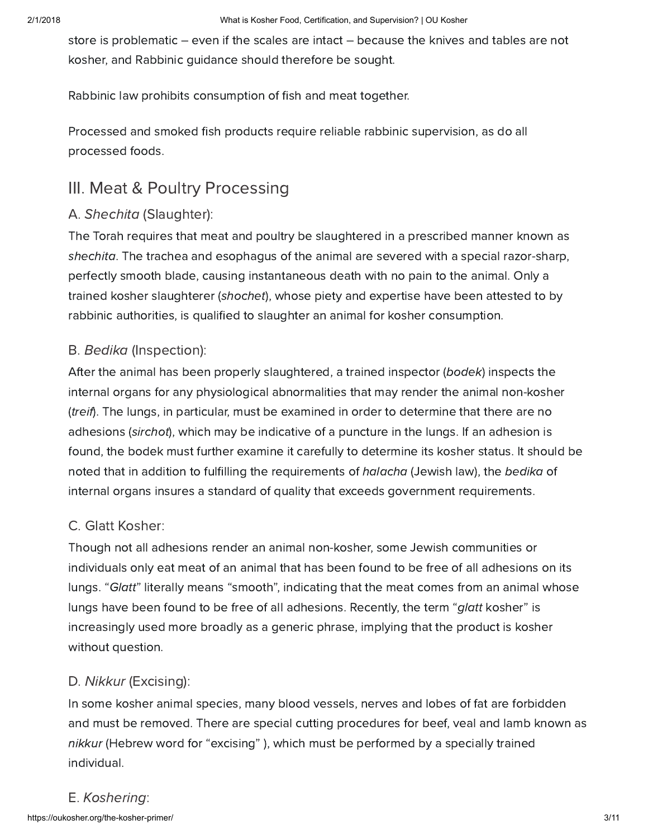store is problematic – even if the scales are intact – because the knives and tables are not kosher, and Rabbinic guidance should therefore be sought.

Rabbinic law prohibits consumption of fish and meat together.

Processed and smoked fish products require reliable rabbinic supervision, as do all processed foods.

## III. Meat & Poultry Processing

## A. Shechita (Slaughter):

The Torah requires that meat and poultry be slaughtered in a prescribed manner known as shechita. The trachea and esophagus of the animal are severed with a special razor-sharp, perfectly smooth blade, causing instantaneous death with no pain to the animal. Only a trained kosher slaughterer (shochet), whose piety and expertise have been attested to by rabbinic authorities, is qualified to slaughter an animal for kosher consumption.

#### B. Bedika (Inspection):

After the animal has been properly slaughtered, a trained inspector (bodek) inspects the internal organs for any physiological abnormalities that may render the animal non-kosher (treif). The lungs, in particular, must be examined in order to determine that there are no adhesions (sirchot), which may be indicative of a puncture in the lungs. If an adhesion is found, the bodek must further examine it carefully to determine its kosher status. It should be noted that in addition to fulfilling the requirements of halacha (Jewish law), the bedika of internal organs insures a standard of quality that exceeds government requirements.

## C. Glatt Kosher:

Though not all adhesions render an animal non-kosher, some Jewish communities or individuals only eat meat of an animal that has been found to be free of all adhesions on its lungs. "Glatt" literally means "smooth", indicating that the meat comes from an animal whose lungs have been found to be free of all adhesions. Recently, the term "glatt kosher" is increasingly used more broadly as a generic phrase, implying that the product is kosher without question.

## D. Nikkur (Excising):

In some kosher animal species, many blood vessels, nerves and lobes of fat are forbidden and must be removed. There are special cutting procedures for beef, veal and lamb known as nikkur (Hebrew word for "excising" ), which must be performed by a specially trained individual.

#### E. Koshering: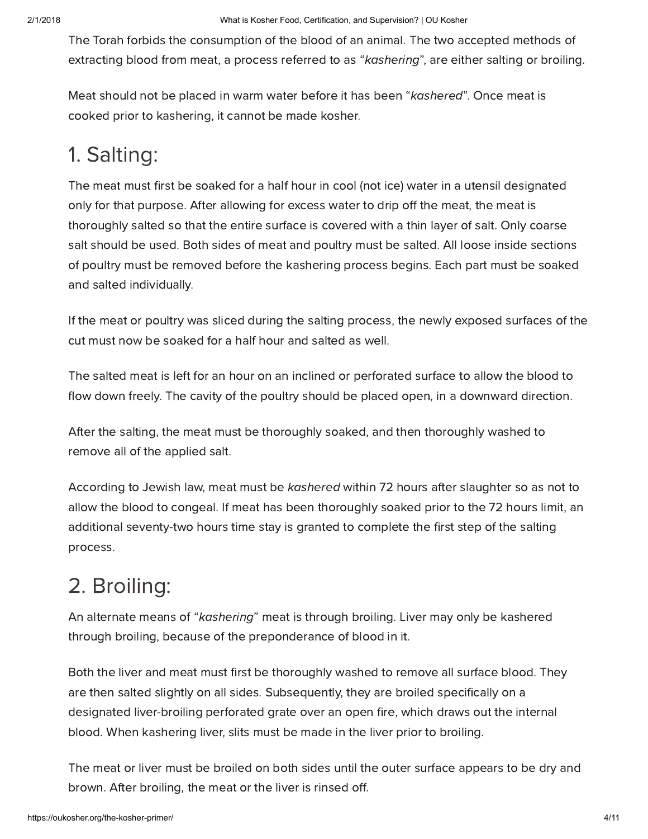The Torah forbids the consumption of the blood of an animal. The two accepted methods of extracting blood from meat, a process referred to as "kashering", are either salting or broiling.

Meat should not be placed in warm water before it has been "kashered". Once meat is cooked prior to kashering, it cannot be made kosher.

## 1. Salting:

The meat must first be soaked for a half hour in cool (not ice) water in a utensil designated only for that purpose. After allowing for excess water to drip off the meat, the meat is thoroughly salted so that the entire surface is covered with a thin layer of salt. Only coarse salt should be used. Both sides of meat and poultry must be salted. All loose inside sections of poultry must be removed before the kashering process begins. Each part must be soaked and salted individually.

If the meat or poultry was sliced during the salting process, the newly exposed surfaces of the cut must now be soaked for a half hour and salted as well.

The salted meat is left for an hour on an inclined or perforated surface to allow the blood to flow down freely. The cavity of the poultry should be placed open, in a downward direction.

After the salting, the meat must be thoroughly soaked, and then thoroughly washed to remove all of the applied salt.

According to Jewish law, meat must be kashered within 72 hours after slaughter so as not to allow the blood to congeal. If meat has been thoroughly soaked prior to the 72 hours limit, an additional seventy-two hours time stay is granted to complete the first step of the salting process.

## 2. Broiling:

An alternate means of "kashering" meat is through broiling. Liver may only be kashered through broiling, because of the preponderance of blood in it.

Both the liver and meat must first be thoroughly washed to remove all surface blood. They are then salted slightly on all sides. Subsequently, they are broiled specifically on a designated liver-broiling perforated grate over an open fire, which draws out the internal blood. When kashering liver, slits must be made in the liver prior to broiling.

The meat or liver must be broiled on both sides until the outer surface appears to be dry and brown. After broiling, the meat or the liver is rinsed off.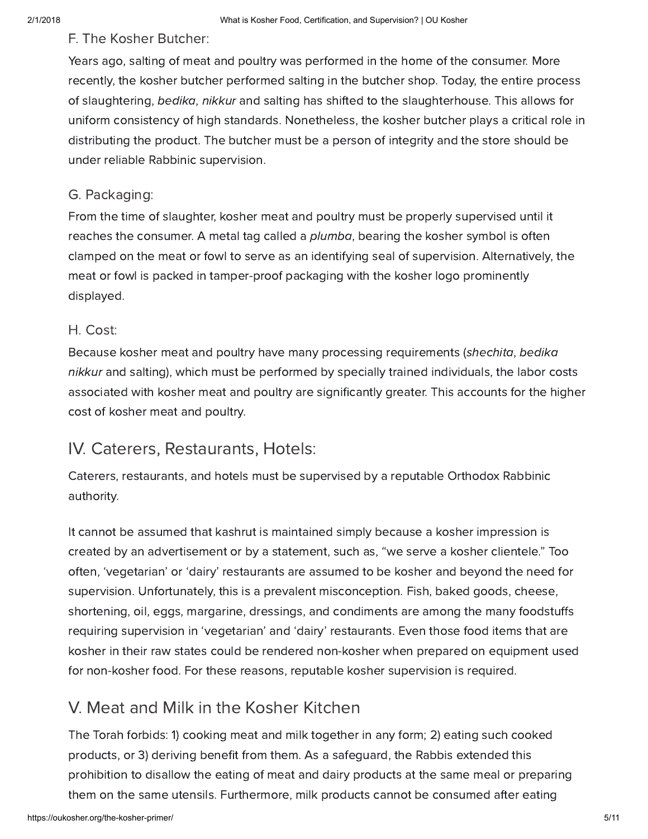#### F. The Kosher Butcher:

Years ago, salting of meat and poultry was performed in the home of the consumer. More recently, the kosher butcher performed salting in the butcher shop. Today, the entire process of slaughtering, bedika, nikkur and salting has shifted to the slaughterhouse. This allows for uniform consistency of high standards. Nonetheless, the kosher butcher plays a critical role in distributing the product. The butcher must be a person of integrity and the store should be under reliable Rabbinic supervision.

#### G. Packaging:

From the time of slaughter, kosher meat and poultry must be properly supervised until it reaches the consumer. A metal tag called a *plumba*, bearing the kosher symbol is often clamped on the meat or fowl to serve as an identifying seal of supervision. Alternatively, the meat or fowl is packed in tamper-proof packaging with the kosher logo prominently displayed.

#### H. Cost:

Because kosher meat and poultry have many processing requirements (shechita, bedika nikkur and salting), which must be performed by specially trained individuals, the labor costs associated with kosher meat and poultry are significantly greater. This accounts for the higher cost of kosher meat and poultry.

## IV. Caterers, Restaurants, Hotels:

Caterers, restaurants, and hotels must be supervised by a reputable Orthodox Rabbinic authority.

It cannot be assumed that kashrut is maintained simply because a kosher impression is created by an advertisement or by a statement, such as, "we serve a kosher clientele." Too often, 'vegetarian' or 'dairy' restaurants are assumed to be kosher and beyond the need for supervision. Unfortunately, this is a prevalent misconception. Fish, baked goods, cheese, shortening, oil, eggs, margarine, dressings, and condiments are among the many foodstuffs requiring supervision in 'vegetarian' and 'dairy' restaurants. Even those food items that are kosher in their raw states could be rendered non-kosher when prepared on equipment used for non-kosher food. For these reasons, reputable kosher supervision is required.

## V. Meat and Milk in the Kosher Kitchen

The Torah forbids: 1) cooking meat and milk together in any form; 2) eating such cooked products, or 3) deriving benefit from them. As a safeguard, the Rabbis extended this prohibition to disallow the eating of meat and dairy products at the same meal or preparing them on the same utensils. Furthermore, milk products cannot be consumed after eating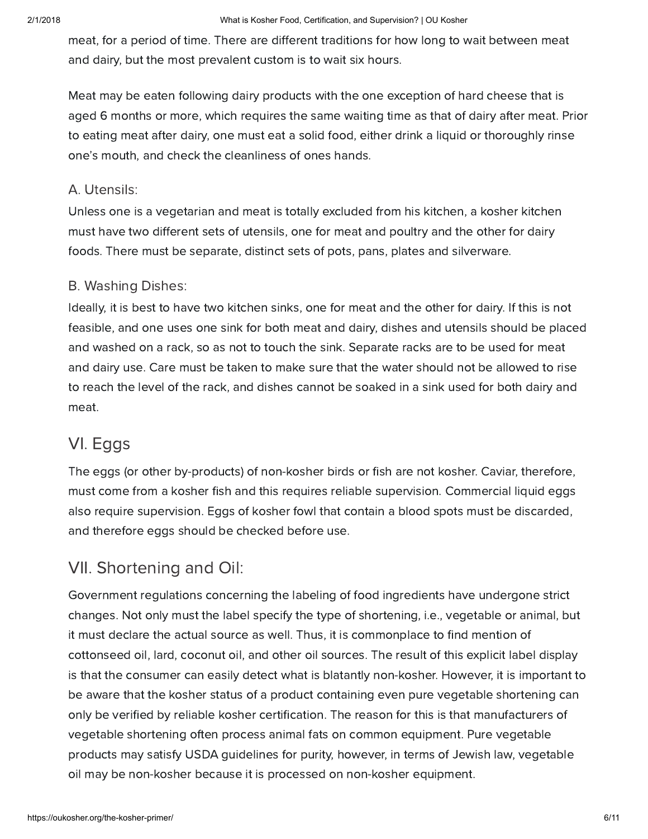meat, for a period of time. There are different traditions for how long to wait between meat and dairy, but the most prevalent custom is to wait six hours.

Meat may be eaten following dairy products with the one exception of hard cheese that is aged 6 months or more, which requires the same waiting time as that of dairy after meat. Prior to eating meat after dairy, one must eat a solid food, either drink a liquid or thoroughly rinse one's mouth, and check the cleanliness of ones hands.

#### A. Utensils:

Unless one is a vegetarian and meat is totally excluded from his kitchen, a kosher kitchen must have two different sets of utensils, one for meat and poultry and the other for dairy foods. There must be separate, distinct sets of pots, pans, plates and silverware.

#### B. Washing Dishes:

Ideally, it is best to have two kitchen sinks, one for meat and the other for dairy. If this is not feasible, and one uses one sink for both meat and dairy, dishes and utensils should be placed and washed on a rack, so as not to touch the sink. Separate racks are to be used for meat and dairy use. Care must be taken to make sure that the water should not be allowed to rise to reach the level of the rack, and dishes cannot be soaked in a sink used for both dairy and meat.

## VI. Eggs

The eggs (or other by-products) of non-kosher birds or fish are not kosher. Caviar, therefore, must come from a kosher fish and this requires reliable supervision. Commercial liquid eggs also require supervision. Eggs of kosher fowl that contain a blood spots must be discarded, and therefore eggs should be checked before use.

## VII. Shortening and Oil:

Government regulations concerning the labeling of food ingredients have undergone strict changes. Not only must the label specify the type of shortening, i.e., vegetable or animal, but it must declare the actual source as well. Thus, it is commonplace to find mention of cottonseed oil, lard, coconut oil, and other oil sources. The result of this explicit label display is that the consumer can easily detect what is blatantly non-kosher. However, it is important to be aware that the kosher status of a product containing even pure vegetable shortening can only be verified by reliable kosher certification. The reason for this is that manufacturers of vegetable shortening often process animal fats on common equipment. Pure vegetable products may satisfy USDA guidelines for purity, however, in terms of Jewish law, vegetable oil may be non-kosher because it is processed on non-kosher equipment.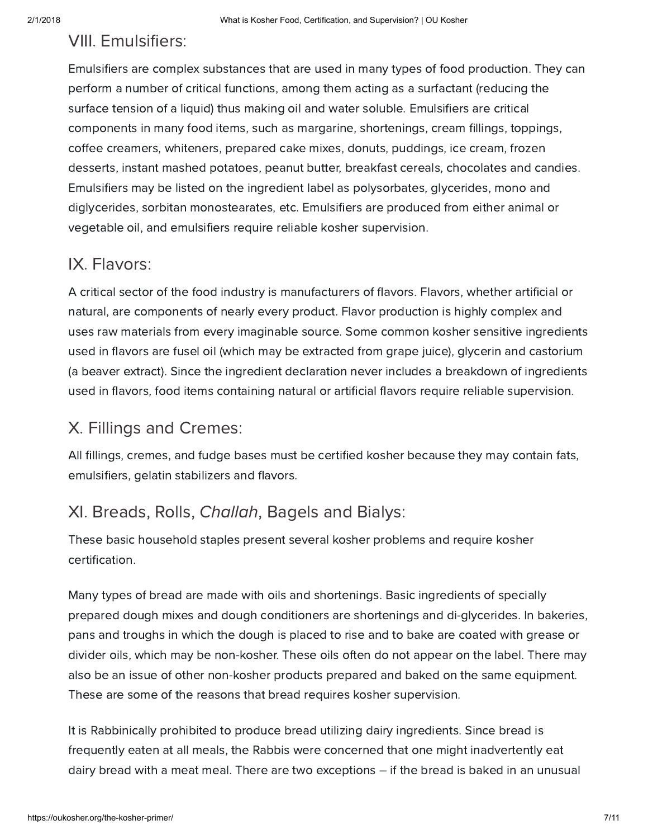## VIII. Emulsifiers:

Emulsifiers are complex substances that are used in many types of food production. They can perform a number of critical functions, among them acting as a surfactant (reducing the surface tension of a liquid) thus making oil and water soluble. Emulsifiers are critical components in many food items, such as margarine, shortenings, cream fillings, toppings, coffee creamers, whiteners, prepared cake mixes, donuts, puddings, ice cream, frozen desserts, instant mashed potatoes, peanut butter, breakfast cereals, chocolates and candies. Emulsifiers may be listed on the ingredient label as polysorbates, glycerides, mono and diglycerides, sorbitan monostearates, etc. Emulsifiers are produced from either animal or vegetable oil, and emulsifiers require reliable kosher supervision.

## IX. Flavors:

A critical sector of the food industry is manufacturers of flavors. Flavors, whether artificial or natural, are components of nearly every product. Flavor production is highly complex and uses raw materials from every imaginable source. Some common kosher sensitive ingredients used in flavors are fusel oil (which may be extracted from grape juice), glycerin and castorium (a beaver extract). Since the ingredient declaration never includes a breakdown of ingredients used in flavors, food items containing natural or artificial flavors require reliable supervision.

## X. Fillings and Cremes:

All fillings, cremes, and fudge bases must be certified kosher because they may contain fats, emulsifiers, gelatin stabilizers and flavors.

## XI. Breads, Rolls, Challah, Bagels and Bialys:

These basic household staples present several kosher problems and require kosher certification.

Many types of bread are made with oils and shortenings. Basic ingredients of specially prepared dough mixes and dough conditioners are shortenings and di-glycerides. In bakeries, pans and troughs in which the dough is placed to rise and to bake are coated with grease or divider oils, which may be non-kosher. These oils often do not appear on the label. There may also be an issue of other non-kosher products prepared and baked on the same equipment. These are some of the reasons that bread requires kosher supervision.

It is Rabbinically prohibited to produce bread utilizing dairy ingredients. Since bread is frequently eaten at all meals, the Rabbis were concerned that one might inadvertently eat dairy bread with a meat meal. There are two exceptions – if the bread is baked in an unusual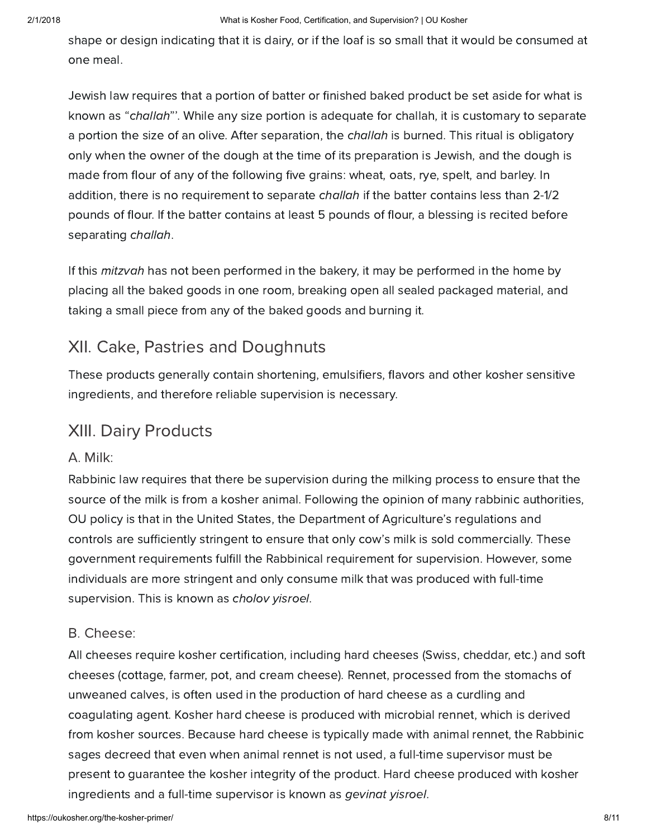shape or design indicating that it is dairy, or if the loaf is so small that it would be consumed at one meal.

Jewish law requires that a portion of batter or finished baked product be set aside for what is known as "challah"'. While any size portion is adequate for challah, it is customary to separate a portion the size of an olive. After separation, the *challah* is burned. This ritual is obligatory only when the owner of the dough at the time of its preparation is Jewish, and the dough is made from flour of any of the following five grains: wheat, oats, rye, spelt, and barley. In addition, there is no requirement to separate *challah* if the batter contains less than 2-1/2 pounds of flour. If the batter contains at least 5 pounds of flour, a blessing is recited before separating challah.

If this *mitzvah* has not been performed in the bakery, it may be performed in the home by placing all the baked goods in one room, breaking open all sealed packaged material, and taking a small piece from any of the baked goods and burning it.

## XII. Cake, Pastries and Doughnuts

These products generally contain shortening, emulsifiers, flavors and other kosher sensitive ingredients, and therefore reliable supervision is necessary.

## XIII. Dairy Products

#### A. Milk:

Rabbinic law requires that there be supervision during the milking process to ensure that the source of the milk is from a kosher animal. Following the opinion of many rabbinic authorities, OU policy is that in the United States, the Department of Agriculture's regulations and controls are sufficiently stringent to ensure that only cow's milk is sold commercially. These government requirements fulfill the Rabbinical requirement for supervision. However, some individuals are more stringent and only consume milk that was produced with full-time supervision. This is known as cholov yisroel.

#### B. Cheese:

All cheeses require kosher certification, including hard cheeses (Swiss, cheddar, etc.) and soft cheeses (cottage, farmer, pot, and cream cheese). Rennet, processed from the stomachs of unweaned calves, is often used in the production of hard cheese as a curdling and coagulating agent. Kosher hard cheese is produced with microbial rennet, which is derived from kosher sources. Because hard cheese is typically made with animal rennet, the Rabbinic sages decreed that even when animal rennet is not used, a full-time supervisor must be present to guarantee the kosher integrity of the product. Hard cheese produced with kosher ingredients and a full-time supervisor is known as gevinat yisroel.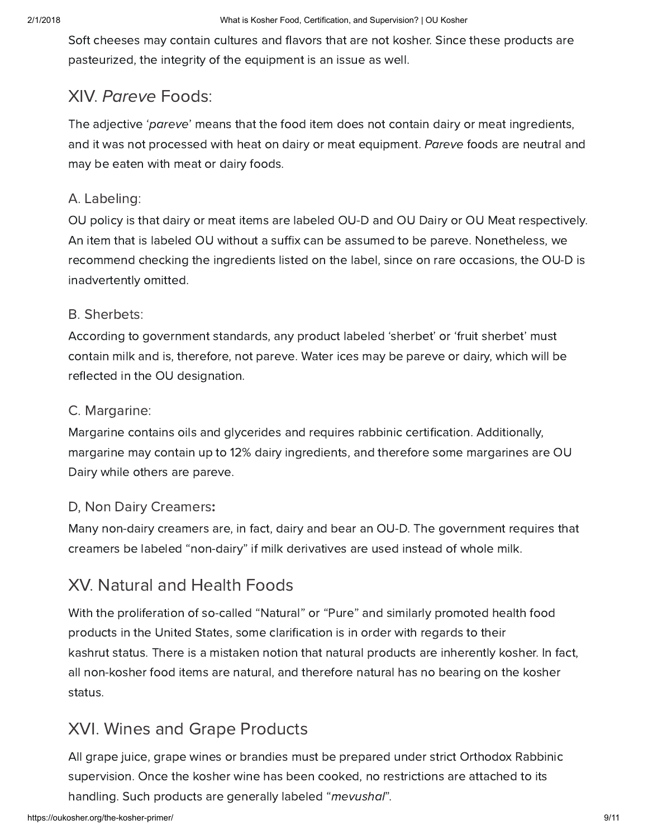Soft cheeses may contain cultures and flavors that are not kosher. Since these products are pasteurized, the integrity of the equipment is an issue as well.

## XIV. Pareve Foods:

The adjective 'pareve' means that the food item does not contain dairy or meat ingredients, and it was not processed with heat on dairy or meat equipment. Pareve foods are neutral and may be eaten with meat or dairy foods.

#### A. Labeling:

OU policy is that dairy or meat items are labeled OU-D and OU Dairy or OU Meat respectively. An item that is labeled OU without a suffix can be assumed to be pareve. Nonetheless, we recommend checking the ingredients listed on the label, since on rare occasions, the OU-D is inadvertently omitted.

#### B. Sherbets:

According to government standards, any product labeled 'sherbet' or 'fruit sherbet' must contain milk and is, therefore, not pareve. Water ices may be pareve or dairy, which will be reflected in the OU designation.

#### C. Margarine:

Margarine contains oils and glycerides and requires rabbinic certification. Additionally, margarine may contain up to 12% dairy ingredients, and therefore some margarines are OU Dairy while others are pareve.

## D, Non Dairy Creamers:

Many non-dairy creamers are, in fact, dairy and bear an OU-D. The government requires that creamers be labeled "non-dairy" if milk derivatives are used instead of whole milk.

## XV. Natural and Health Foods

With the proliferation of so-called "Natural" or "Pure" and similarly promoted health food products in the United States, some clarification is in order with regards to their kashrut status. There is a mistaken notion that natural products are inherently kosher. In fact, all non-kosher food items are natural, and therefore natural has no bearing on the kosher status.

## XVI. Wines and Grape Products

All grape juice, grape wines or brandies must be prepared under strict Orthodox Rabbinic supervision. Once the kosher wine has been cooked, no restrictions are attached to its handling. Such products are generally labeled "mevushal".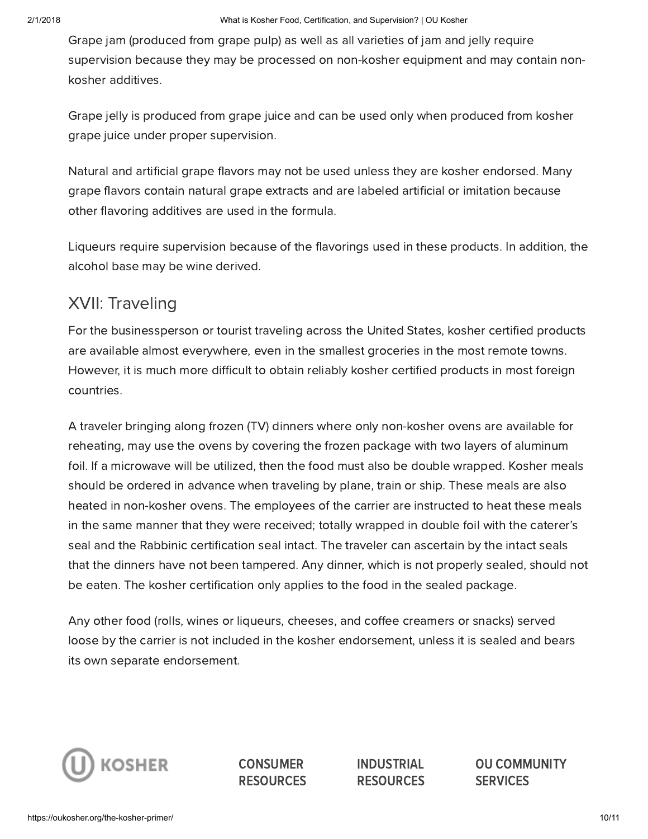Grape jam (produced from grape pulp) as well as all varieties of jam and jelly require supervision because they may be processed on non-kosher equipment and may contain nonkosher additives.

Grape jelly is produced from grape juice and can be used only when produced from kosher grape juice under proper supervision.

Natural and artificial grape flavors may not be used unless they are kosher endorsed. Many grape flavors contain natural grape extracts and are labeled artificial or imitation because other flavoring additives are used in the formula.

Liqueurs require supervision because of the flavorings used in these products. In addition, the alcohol base may be wine derived.

## XVII: Traveling

For the businessperson or tourist traveling across the United States, kosher certified products are available almost everywhere, even in the smallest groceries in the most remote towns. However, it is much more difficult to obtain reliably kosher certified products in most foreign countries.

A traveler bringing along frozen (TV) dinners where only non-kosher ovens are available for reheating, may use the ovens by covering the frozen package with two layers of aluminum foil. If a microwave will be utilized, then the food must also be double wrapped. Kosher meals should be ordered in advance when traveling by plane, train or ship. These meals are also heated in non-kosher ovens. The employees of the carrier are instructed to heat these meals in the same manner that they were received; totally wrapped in double foil with the caterer's seal and the Rabbinic certification seal intact. The traveler can ascertain by the intact seals that the dinners have not been tampered. Any dinner, which is not properly sealed, should not be eaten. The kosher certification only applies to the food in the sealed package.

Any other food (rolls, wines or liqueurs, cheeses, and coffee creamers or snacks) served loose by the carrier is not included in the kosher endorsement, unless it is sealed and bears its own separate endorsement.



**CONSUMER RESOURCES**  INDUSTRIAL **RESOURCES**  OU COMMUNITY **SERVICES**